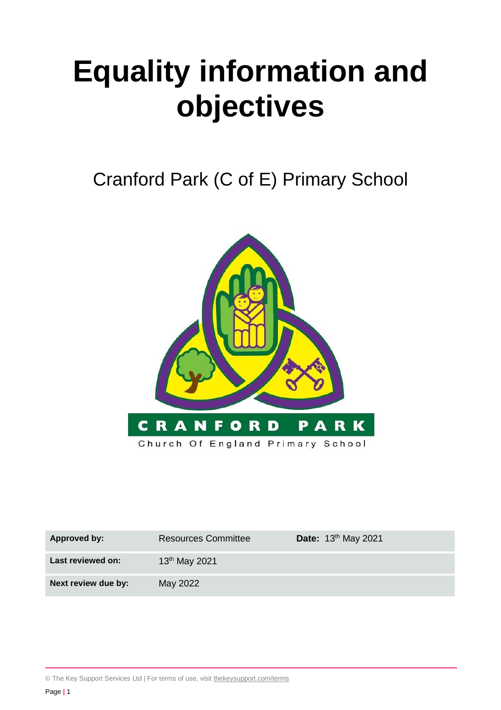# **Equality information and objectives**

Cranford Park (C of E) Primary School



| Approved by:        | <b>Resources Committee</b> | Date: 13th May 2021 |
|---------------------|----------------------------|---------------------|
| Last reviewed on:   | $13th$ May 2021            |                     |
| Next review due by: | May 2022                   |                     |

© The Key Support Services Ltd | For terms of use, visit [thekeysupport.com/terms](https://thekeysupport.com/terms-of-use)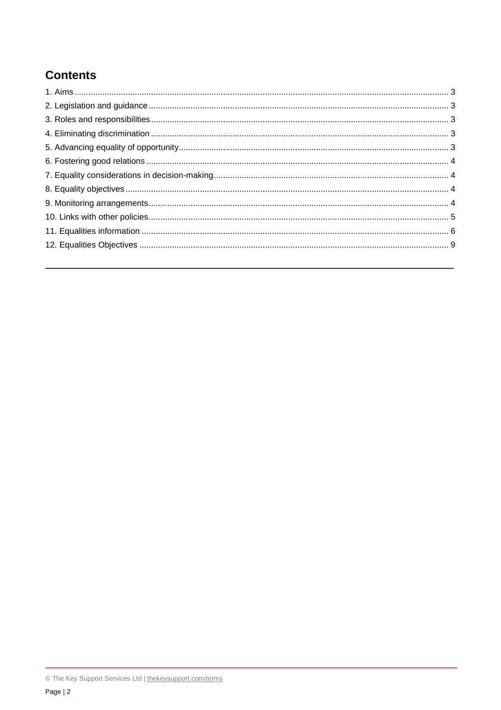## **Contents**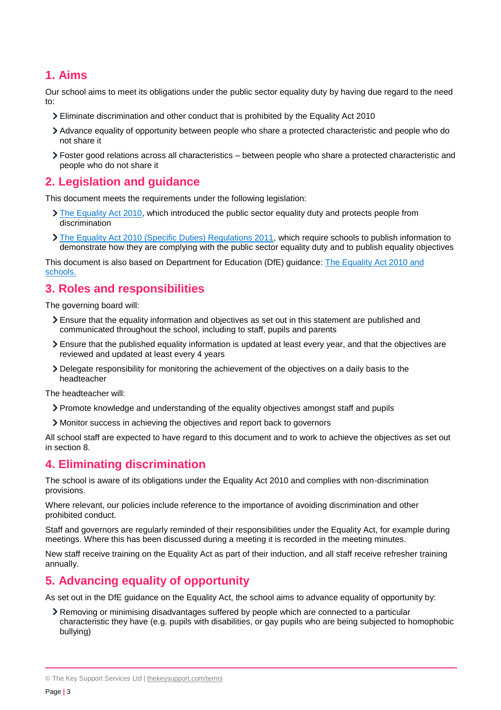### <span id="page-2-0"></span>**1. Aims**

Our school aims to meet its obligations under the public sector equality duty by having due regard to the need to:

- Eliminate discrimination and other conduct that is prohibited by the Equality Act 2010
- Advance equality of opportunity between people who share a protected characteristic and people who do not share it
- Foster good relations across all characteristics between people who share a protected characteristic and people who do not share it

### <span id="page-2-1"></span>**2. Legislation and guidance**

This document meets the requirements under the following legislation:

- $\sum$  [The Equality Act 2010,](http://www.legislation.gov.uk/ukpga/2010/15/contents) which introduced the public sector equality duty and protects people from discrimination
- [The Equality Act 2010 \(Specific Duties\) Regulations 2011,](http://www.legislation.gov.uk/uksi/2011/2260/contents/made) which require schools to publish information to demonstrate how they are complying with the public sector equality duty and to publish equality objectives

This document is also based on Department for Education (DfE) guidance: [The Equality Act 2010 and](https://www.gov.uk/government/publications/equality-act-2010-advice-for-schools)  [schools.](https://www.gov.uk/government/publications/equality-act-2010-advice-for-schools) 

### <span id="page-2-2"></span>**3. Roles and responsibilities**

The governing board will:

- Ensure that the equality information and objectives as set out in this statement are published and communicated throughout the school, including to staff, pupils and parents
- Ensure that the published equality information is updated at least every year, and that the objectives are reviewed and updated at least every 4 years
- Delegate responsibility for monitoring the achievement of the objectives on a daily basis to the headteacher

The headteacher will:

- Promote knowledge and understanding of the equality objectives amongst staff and pupils
- Monitor success in achieving the objectives and report back to governors

All school staff are expected to have regard to this document and to work to achieve the objectives as set out in section 8.

### <span id="page-2-3"></span>**4. Eliminating discrimination**

The school is aware of its obligations under the Equality Act 2010 and complies with non-discrimination provisions.

Where relevant, our policies include reference to the importance of avoiding discrimination and other prohibited conduct.

Staff and governors are regularly reminded of their responsibilities under the Equality Act, for example during meetings. Where this has been discussed during a meeting it is recorded in the meeting minutes.

New staff receive training on the Equality Act as part of their induction, and all staff receive refresher training annually.

### <span id="page-2-4"></span>**5. Advancing equality of opportunity**

As set out in the DfE guidance on the Equality Act, the school aims to advance equality of opportunity by:

Removing or minimising disadvantages suffered by people which are connected to a particular characteristic they have (e.g. pupils with disabilities, or gay pupils who are being subjected to homophobic bullying)

<sup>©</sup> The Key Support Services Ltd | [thekeysupport.com/terms](https://thekeysupport.com/terms-of-use)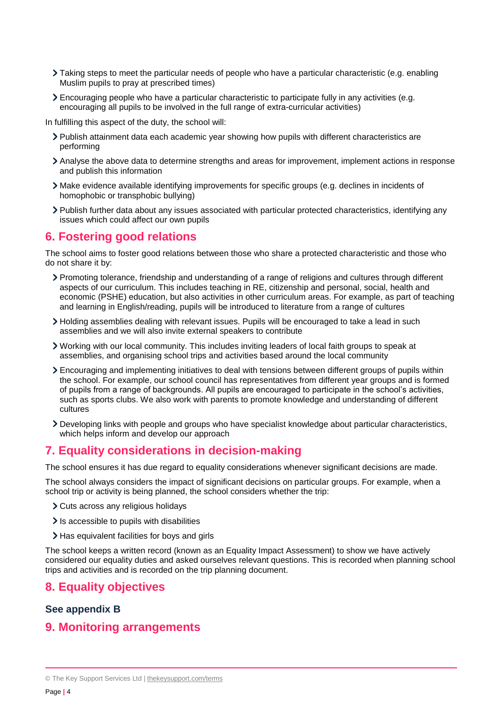- Taking steps to meet the particular needs of people who have a particular characteristic (e.g. enabling Muslim pupils to pray at prescribed times)
- Encouraging people who have a particular characteristic to participate fully in any activities (e.g. encouraging all pupils to be involved in the full range of extra-curricular activities)

In fulfilling this aspect of the duty, the school will:

- Publish attainment data each academic year showing how pupils with different characteristics are performing
- Analyse the above data to determine strengths and areas for improvement, implement actions in response and publish this information
- Make evidence available identifying improvements for specific groups (e.g. declines in incidents of homophobic or transphobic bullying)
- Publish further data about any issues associated with particular protected characteristics, identifying any issues which could affect our own pupils

### <span id="page-3-0"></span>**6. Fostering good relations**

The school aims to foster good relations between those who share a protected characteristic and those who do not share it by:

- Promoting tolerance, friendship and understanding of a range of religions and cultures through different aspects of our curriculum. This includes teaching in RE, citizenship and personal, social, health and economic (PSHE) education, but also activities in other curriculum areas. For example, as part of teaching and learning in English/reading, pupils will be introduced to literature from a range of cultures
- Holding assemblies dealing with relevant issues. Pupils will be encouraged to take a lead in such assemblies and we will also invite external speakers to contribute
- Working with our local community. This includes inviting leaders of local faith groups to speak at assemblies, and organising school trips and activities based around the local community
- Encouraging and implementing initiatives to deal with tensions between different groups of pupils within the school. For example, our school council has representatives from different year groups and is formed of pupils from a range of backgrounds. All pupils are encouraged to participate in the school's activities, such as sports clubs. We also work with parents to promote knowledge and understanding of different cultures
- Developing links with people and groups who have specialist knowledge about particular characteristics, which helps inform and develop our approach

### <span id="page-3-1"></span>**7. Equality considerations in decision-making**

The school ensures it has due regard to equality considerations whenever significant decisions are made.

The school always considers the impact of significant decisions on particular groups. For example, when a school trip or activity is being planned, the school considers whether the trip:

- Cuts across any religious holidays
- In accessible to pupils with disabilities
- > Has equivalent facilities for boys and girls

The school keeps a written record (known as an Equality Impact Assessment) to show we have actively considered our equality duties and asked ourselves relevant questions. This is recorded when planning school trips and activities and is recorded on the trip planning document.

### <span id="page-3-2"></span>**8. Equality objectives**

### **See appendix B**

### <span id="page-3-3"></span>**9. Monitoring arrangements**

<sup>©</sup> The Key Support Services Ltd | [thekeysupport.com/terms](https://thekeysupport.com/terms-of-use)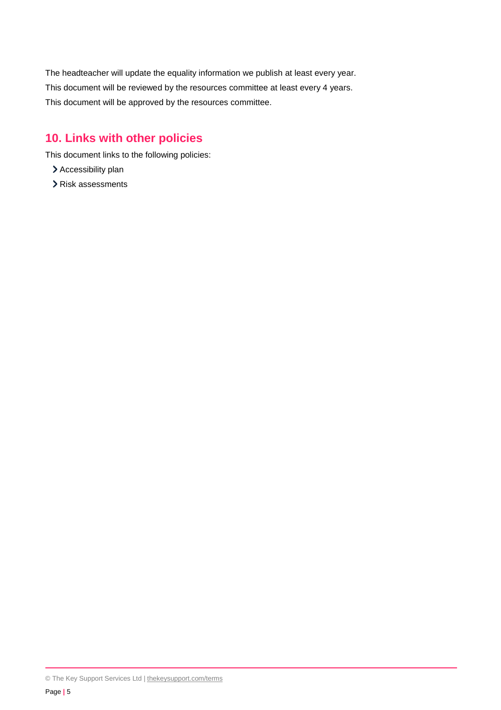The headteacher will update the equality information we publish at least every year. This document will be reviewed by the resources committee at least every 4 years. This document will be approved by the resources committee.

### <span id="page-4-0"></span>**10. Links with other policies**

This document links to the following policies:

- > Accessibility plan
- Risk assessments

<sup>©</sup> The Key Support Services Ltd | [thekeysupport.com/terms](https://thekeysupport.com/terms-of-use)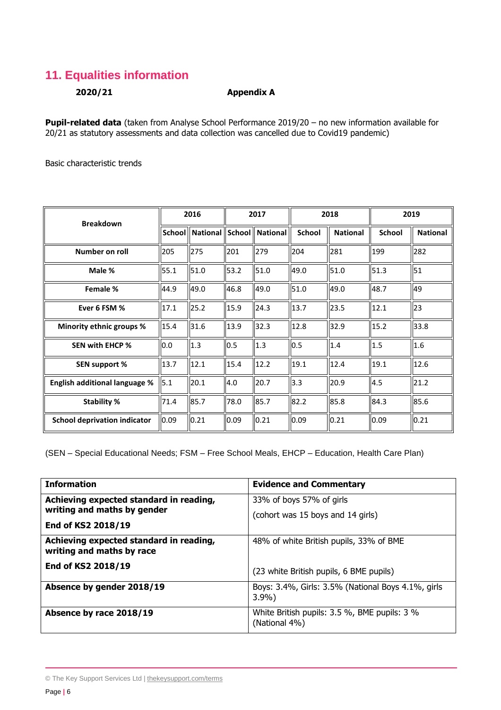### <span id="page-5-0"></span>**11. Equalities information**

### **2020/21 Appendix A**

**Pupil-related data** (taken from Analyse School Performance 2019/20 – no new information available for 20/21 as statutory assessments and data collection was cancelled due to Covid19 pandemic)

Basic characteristic trends

| <b>Breakdown</b>                     | 2016 |      | 2017 |                                          | 2018          |                 | 2019          |                 |
|--------------------------------------|------|------|------|------------------------------------------|---------------|-----------------|---------------|-----------------|
|                                      |      |      |      | School    National    School    National | <b>School</b> | <b>National</b> | <b>School</b> | <b>National</b> |
| Number on roll                       | 205  | 275  | 201  | 279                                      | 204           | 281             | 199           | 282             |
| Male %                               | 55.1 | 51.0 | 53.2 | 51.0                                     | 49.0          | 51.0            | 51.3          | 51              |
| Female %                             | 44.9 | 49.0 | 46.8 | 49.0                                     | 51.0          | 49.0            | 48.7          | 49              |
| Ever 6 FSM %                         | 17.1 | 25.2 | 15.9 | 24.3                                     | 13.7          | 23.5            | 12.1          | 23              |
| Minority ethnic groups %             | 15.4 | 31.6 | 13.9 | 32.3                                     | 12.8          | 32.9            | 15.2          | 33.8            |
| <b>SEN with EHCP %</b>               | 0.0  | 1.3  | 0.5  | $\vert$ 1.3                              | 0.5           | 1.4             | 1.5           | 1.6             |
| <b>SEN support %</b>                 | 13.7 | 12.1 | 15.4 | 12.2                                     | 19.1          | 12.4            | 19.1          | 12.6            |
| <b>English additional language %</b> | 5.1  | 20.1 | 4.0  | 20.7                                     | 3.3           | 20.9            | 4.5           | 21.2            |
| <b>Stability %</b>                   | 71.4 | 85.7 | 78.0 | 85.7                                     | 82.2          | 85.8            | 84.3          | 85.6            |
| <b>School deprivation indicator</b>  | 0.09 | 0.21 | 0.09 | $\parallel$ 0.21                         | 0.09          | 0.21            | 0.09          | 0.21            |

(SEN – Special Educational Needs; FSM – Free School Meals, EHCP – Education, Health Care Plan)

| <b>Information</b>                                                     | <b>Evidence and Commentary</b>                                |
|------------------------------------------------------------------------|---------------------------------------------------------------|
| Achieving expected standard in reading,<br>writing and maths by gender | 33% of boys 57% of girls                                      |
| End of KS2 2018/19                                                     | (cohort was 15 boys and 14 girls)                             |
| Achieving expected standard in reading,<br>writing and maths by race   | 48% of white British pupils, 33% of BME                       |
| End of KS2 2018/19                                                     | (23 white British pupils, 6 BME pupils)                       |
| Absence by gender 2018/19                                              | Boys: 3.4%, Girls: 3.5% (National Boys 4.1%, girls<br>$3.9\%$ |
| Absence by race 2018/19                                                | White British pupils: 3.5 %, BME pupils: 3 %<br>(National 4%) |

<sup>©</sup> The Key Support Services Ltd | [thekeysupport.com/terms](https://thekeysupport.com/terms-of-use)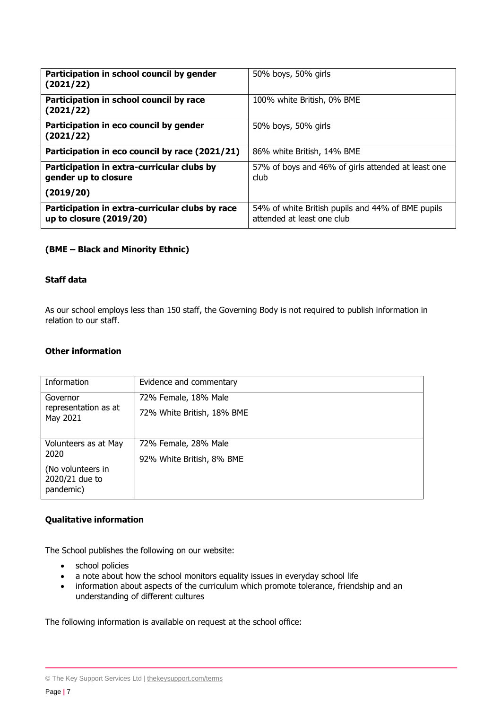| Participation in school council by gender<br>(2021/22)                     | 50% boys, 50% girls                                                             |
|----------------------------------------------------------------------------|---------------------------------------------------------------------------------|
| Participation in school council by race<br>(2021/22)                       | 100% white British, 0% BME                                                      |
| Participation in eco council by gender<br>(2021/22)                        | 50% boys, 50% girls                                                             |
| Participation in eco council by race (2021/21)                             | 86% white British, 14% BME                                                      |
| Participation in extra-curricular clubs by<br>gender up to closure         | 57% of boys and 46% of girls attended at least one<br>club                      |
| (2019/20)                                                                  |                                                                                 |
| Participation in extra-curricular clubs by race<br>up to closure (2019/20) | 54% of white British pupils and 44% of BME pupils<br>attended at least one club |

### **(BME – Black and Minority Ethnic)**

#### **Staff data**

As our school employs less than 150 staff, the Governing Body is not required to publish information in relation to our staff.

#### **Other information**

| Information                                      | Evidence and commentary    |
|--------------------------------------------------|----------------------------|
| Governor                                         | 72% Female, 18% Male       |
| representation as at<br>May 2021                 | 72% White British, 18% BME |
|                                                  |                            |
| Volunteers as at May<br>2020                     | 72% Female, 28% Male       |
|                                                  | 92% White British, 8% BME  |
| (No volunteers in<br>2020/21 due to<br>pandemic) |                            |

#### **Qualitative information**

The School publishes the following on our website:

- school policies
- a note about how the school monitors equality issues in everyday school life
- information about aspects of the curriculum which promote tolerance, friendship and an understanding of different cultures

The following information is available on request at the school office:

<sup>©</sup> The Key Support Services Ltd | [thekeysupport.com/terms](https://thekeysupport.com/terms-of-use)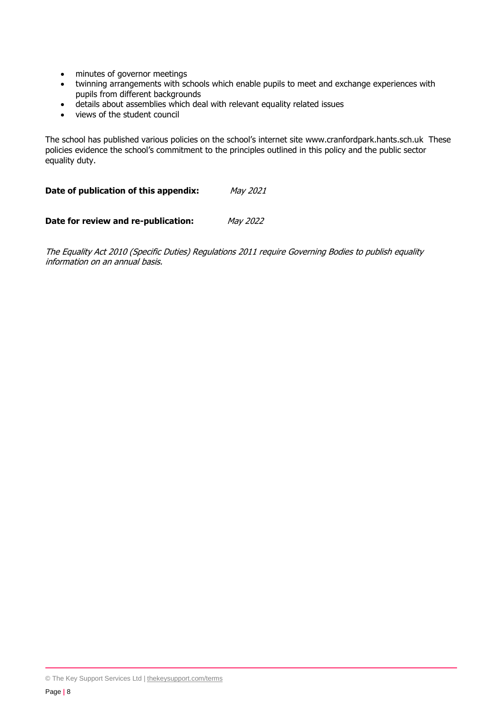- minutes of governor meetings
- twinning arrangements with schools which enable pupils to meet and exchange experiences with pupils from different backgrounds
- details about assemblies which deal with relevant equality related issues
- views of the student council

The school has published various policies on the school's internet site www.cranfordpark.hants.sch.uk These policies evidence the school's commitment to the principles outlined in this policy and the public sector equality duty.

**Date of publication of this appendix:** May 2021

**Date for review and re-publication:** May 2022

The Equality Act 2010 (Specific Duties) Regulations 2011 require Governing Bodies to publish equality information on an annual basis.

<sup>©</sup> The Key Support Services Ltd | [thekeysupport.com/terms](https://thekeysupport.com/terms-of-use)